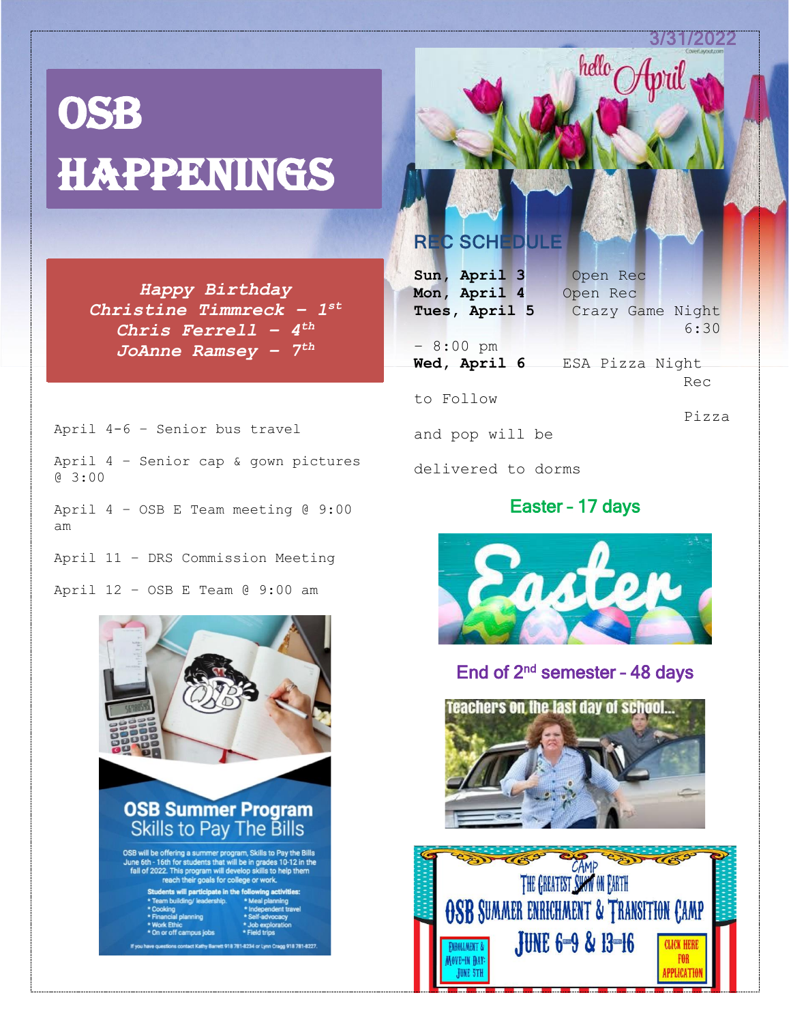31/2022

hello April

# **OSB** Happenings

*Happy Birthday Christine Timmreck – 1 st Chris Ferrell – 4 th JoAnne Ramsey – 7 th*

April 4-6 – Senior bus travel

April 4 – Senior cap & gown pictures @ 3:00

April 4 – OSB E Team meeting @ 9:00 am

April 11 – DRS Commission Meeting

April 12 – OSB E Team @ 9:00 am



# **REC SCHE**

| Sun, April 3       | Open Rec         |
|--------------------|------------------|
| Mon, April 4       | Open Rec         |
| Tues, April 5      | Crazy Game Night |
|                    | 6:30             |
| $-8:00 \text{ pm}$ |                  |
| Wed, April 6       | ESA Pizza Night  |
|                    | Rec              |
| to Follow          |                  |
|                    | Pizza            |
| and pop will be    |                  |
|                    |                  |

delivered to dorms

# Easter – 17 days



## End of  $2^{nd}$  semester - 48 days